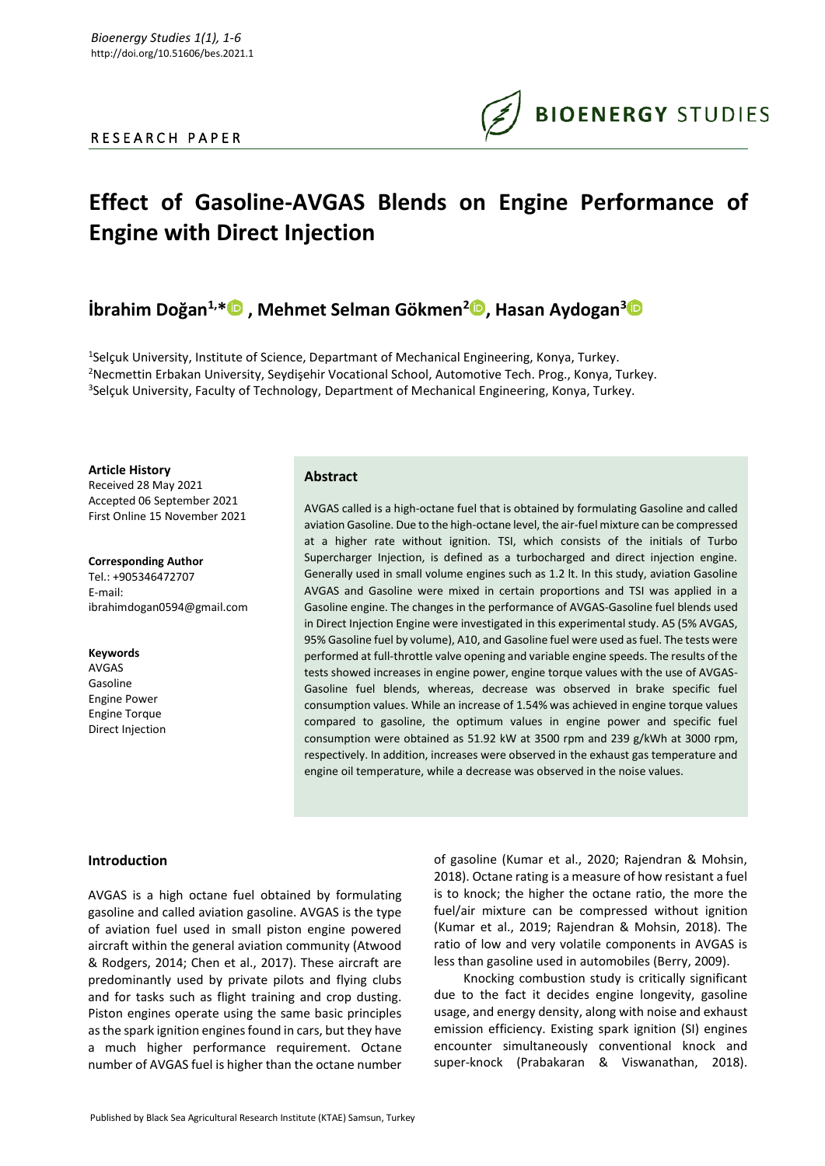## R E S E A R C H P A P E R

# **Effect of Gasoline-AVGAS Blends on Engine Performance of Engine with Direct Injection**

# **İbrahim Doğan1,\* , Mehmet Selman Gökmen<sup>2</sup> , Hasan Aydogan[3](https://orcid.org/0000-0003-1404-6352)**

<sup>1</sup>Selçuk University, Institute of Science, Departmant of Mechanical Engineering, Konya, Turkey. <sup>2</sup>Necmettin Erbakan University, Seydişehir Vocational School, Automotive Tech. Prog., Konya, Turkey. <sup>3</sup>Selçuk University, Faculty of Technology, Department of Mechanical Engineering, Konya, Turkey.

**Article History** Received 28 May 2021 Accepted 06 September 2021 First Online 15 November 2021

**Corresponding Author** Tel.: +905346472707 E-mail: ibrahimdogan0594@gmail.com

**Keywords** AVGAS Gasoline Engine Power Engine Torque Direct Injection

### **Abstract**

AVGAS called is a high-octane fuel that is obtained by formulating Gasoline and called aviation Gasoline. Due to the high-octane level, the air-fuel mixture can be compressed at a higher rate without ignition. TSI, which consists of the initials of Turbo Supercharger Injection, is defined as a turbocharged and direct injection engine. Generally used in small volume engines such as 1.2 lt. In this study, aviation Gasoline AVGAS and Gasoline were mixed in certain proportions and TSI was applied in a Gasoline engine. The changes in the performance of AVGAS-Gasoline fuel blends used in Direct Injection Engine were investigated in this experimental study. A5 (5% AVGAS, 95% Gasoline fuel by volume), A10, and Gasoline fuel were used as fuel. The tests were performed at full-throttle valve opening and variable engine speeds. The results of the tests showed increases in engine power, engine torque values with the use of AVGAS-Gasoline fuel blends, whereas, decrease was observed in brake specific fuel consumption values. While an increase of 1.54% was achieved in engine torque values compared to gasoline, the optimum values in engine power and specific fuel consumption were obtained as 51.92 kW at 3500 rpm and 239 g/kWh at 3000 rpm, respectively. In addition, increases were observed in the exhaust gas temperature and engine oil temperature, while a decrease was observed in the noise values.

#### **Introduction**

AVGAS is a high octane fuel obtained by formulating gasoline and called aviation gasoline. AVGAS is the type of aviation fuel used in small piston engine powered aircraft within the general aviation community (Atwood & Rodgers, 2014; Chen et al., 2017). These aircraft are predominantly used by private pilots and flying clubs and for tasks such as flight training and crop dusting. Piston engines operate using the same basic principles as the spark ignition engines found in cars, but they have a much higher performance requirement. Octane number of AVGAS fuel is higher than the octane number

of gasoline (Kumar et al., 2020; Rajendran & Mohsin, 2018). Octane rating is a measure of how resistant a fuel is to knock; the higher the octane ratio, the more the fuel/air mixture can be compressed without ignition (Kumar et al., 2019; Rajendran & Mohsin, 2018). The ratio of low and very volatile components in AVGAS is less than gasoline used in automobiles (Berry, 2009).

Knocking combustion study is critically significant due to the fact it decides engine longevity, gasoline usage, and energy density, along with noise and exhaust emission efficiency. Existing spark ignition (SI) engines encounter simultaneously conventional knock and super-knock (Prabakaran & Viswanathan, 2018).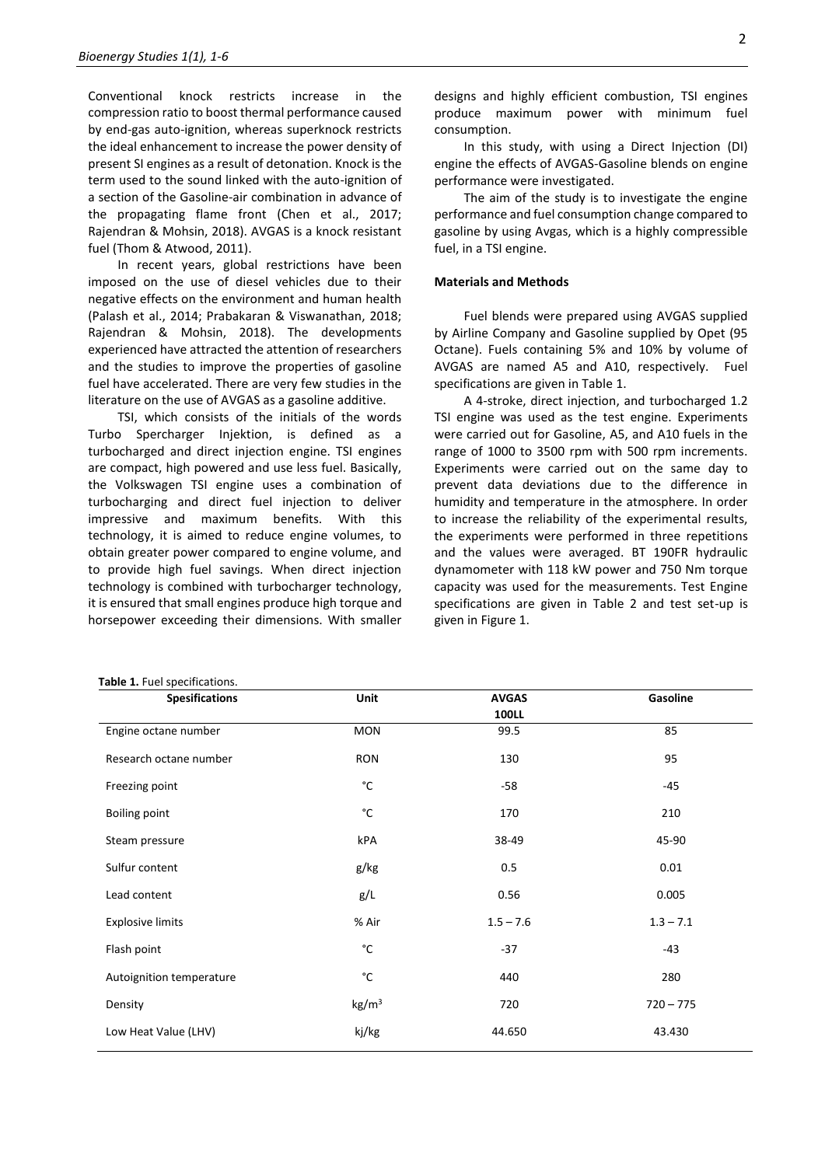Conventional knock restricts increase in the compression ratio to boost thermal performance caused by end-gas auto-ignition, whereas superknock restricts the ideal enhancement to increase the power density of present SI engines as a result of detonation. Knock is the term used to the sound linked with the auto-ignition of a section of the Gasoline-air combination in advance of the propagating flame front (Chen et al., 2017; Rajendran & Mohsin, 2018). AVGAS is a knock resistant fuel (Thom & Atwood, 2011).

In recent years, global restrictions have been imposed on the use of diesel vehicles due to their negative effects on the environment and human health (Palash et al., 2014; Prabakaran & Viswanathan, 2018; Rajendran & Mohsin, 2018). The developments experienced have attracted the attention of researchers and the studies to improve the properties of gasoline fuel have accelerated. There are very few studies in the literature on the use of AVGAS as a gasoline additive.

TSI, which consists of the initials of the words Turbo Spercharger Injektion, is defined as a turbocharged and direct injection engine. TSI engines are compact, high powered and use less fuel. Basically, the Volkswagen TSI engine uses a combination of turbocharging and direct fuel injection to deliver impressive and maximum benefits. With this technology, it is aimed to reduce engine volumes, to obtain greater power compared to engine volume, and to provide high fuel savings. When direct injection technology is combined with turbocharger technology, it is ensured that small engines produce high torque and horsepower exceeding their dimensions. With smaller

#### **Table 1.** Fuel specifications.

designs and highly efficient combustion, TSI engines produce maximum power with minimum fuel consumption.

In this study, with using a Direct Injection (DI) engine the effects of AVGAS-Gasoline blends on engine performance were investigated.

The aim of the study is to investigate the engine performance and fuel consumption change compared to gasoline by using Avgas, which is a highly compressible fuel, in a TSI engine.

#### **Materials and Methods**

Fuel blends were prepared using AVGAS supplied by Airline Company and Gasoline supplied by Opet (95 Octane). Fuels containing 5% and 10% by volume of AVGAS are named A5 and A10, respectively. Fuel specifications are given in Table 1.

A 4-stroke, direct injection, and turbocharged 1.2 TSI engine was used as the test engine. Experiments were carried out for Gasoline, A5, and A10 fuels in the range of 1000 to 3500 rpm with 500 rpm increments. Experiments were carried out on the same day to prevent data deviations due to the difference in humidity and temperature in the atmosphere. In order to increase the reliability of the experimental results, the experiments were performed in three repetitions and the values were averaged. BT 190FR hydraulic dynamometer with 118 kW power and 750 Nm torque capacity was used for the measurements. Test Engine specifications are given in Table 2 and test set-up is given in Figure 1.

| <b>Spesifications</b>    | Unit              | <b>AVGAS</b> | Gasoline    |
|--------------------------|-------------------|--------------|-------------|
|                          |                   | <b>100LL</b> |             |
| Engine octane number     | <b>MON</b>        | 99.5         | 85          |
| Research octane number   | <b>RON</b>        | 130          | 95          |
| Freezing point           | °C                | $-58$        | $-45$       |
| <b>Boiling point</b>     | °C                | 170          | 210         |
| Steam pressure           | kPA               | 38-49        | 45-90       |
| Sulfur content           | g/kg              | 0.5          | 0.01        |
| Lead content             | g/L               | 0.56         | 0.005       |
| <b>Explosive limits</b>  | % Air             | $1.5 - 7.6$  | $1.3 - 7.1$ |
| Flash point              | °C                | $-37$        | $-43$       |
| Autoignition temperature | °C                | 440          | 280         |
| Density                  | kg/m <sup>3</sup> | 720          | $720 - 775$ |
| Low Heat Value (LHV)     | kj/kg             | 44.650       | 43.430      |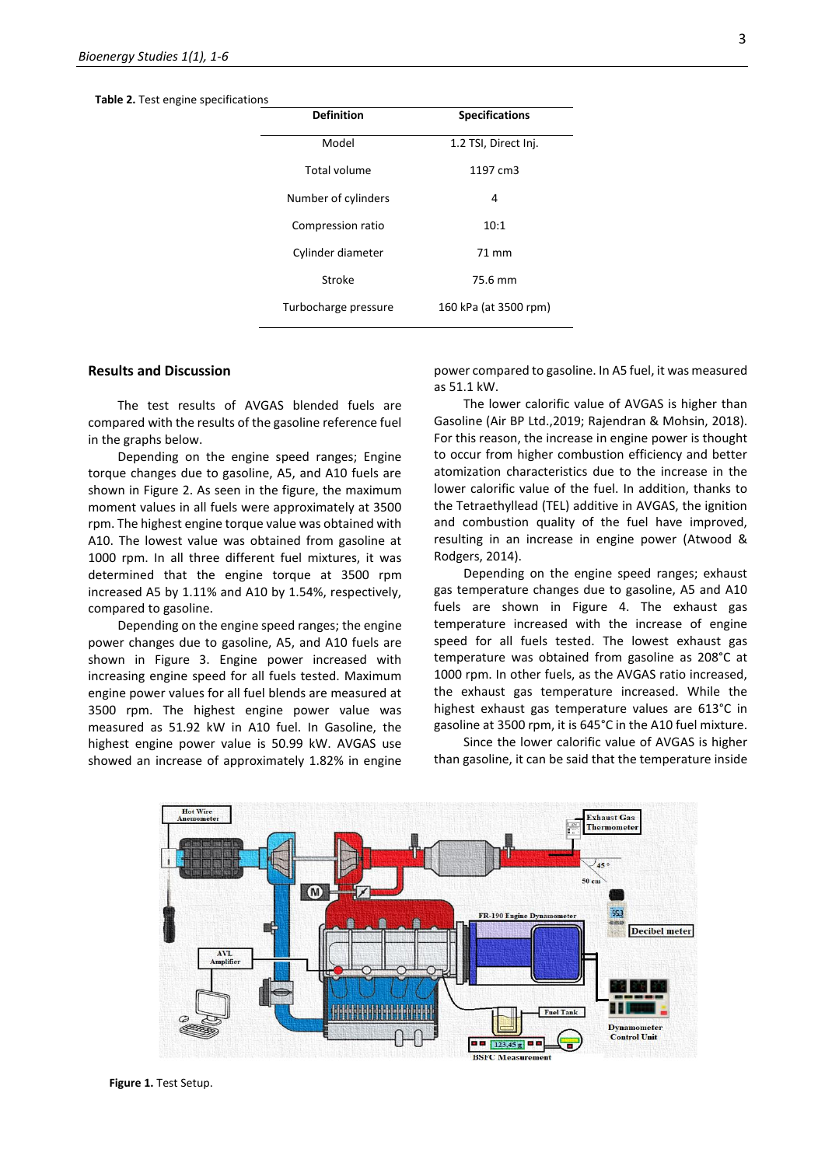**Table 2.** Test engine specifications

| <b>Definition</b>    | <b>Specifications</b> |  |
|----------------------|-----------------------|--|
| Model                | 1.2 TSI, Direct Inj.  |  |
| Total volume         | 1197 cm3              |  |
| Number of cylinders  | 4                     |  |
| Compression ratio    | 10:1                  |  |
| Cylinder diameter    | 71 mm                 |  |
| Stroke               | 75.6 mm               |  |
| Turbocharge pressure | 160 kPa (at 3500 rpm) |  |

#### **Results and Discussion**

The test results of AVGAS blended fuels are compared with the results of the gasoline reference fuel in the graphs below.

Depending on the engine speed ranges; Engine torque changes due to gasoline, A5, and A10 fuels are shown in Figure 2. As seen in the figure, the maximum moment values in all fuels were approximately at 3500 rpm. The highest engine torque value was obtained with A10. The lowest value was obtained from gasoline at 1000 rpm. In all three different fuel mixtures, it was determined that the engine torque at 3500 rpm increased A5 by 1.11% and A10 by 1.54%, respectively, compared to gasoline.

Depending on the engine speed ranges; the engine power changes due to gasoline, A5, and A10 fuels are shown in Figure 3. Engine power increased with increasing engine speed for all fuels tested. Maximum engine power values for all fuel blends are measured at 3500 rpm. The highest engine power value was measured as 51.92 kW in A10 fuel. In Gasoline, the highest engine power value is 50.99 kW. AVGAS use showed an increase of approximately 1.82% in engine power compared to gasoline. In A5 fuel, it was measured as 51.1 kW.

The lower calorific value of AVGAS is higher than Gasoline (Air BP Ltd.,2019; Rajendran & Mohsin, 2018). For this reason, the increase in engine power is thought to occur from higher combustion efficiency and better atomization characteristics due to the increase in the lower calorific value of the fuel. In addition, thanks to the Tetraethyllead (TEL) additive in AVGAS, the ignition and combustion quality of the fuel have improved, resulting in an increase in engine power (Atwood & Rodgers, 2014).

Depending on the engine speed ranges; exhaust gas temperature changes due to gasoline, A5 and A10 fuels are shown in Figure 4. The exhaust gas temperature increased with the increase of engine speed for all fuels tested. The lowest exhaust gas temperature was obtained from gasoline as 208°C at 1000 rpm. In other fuels, as the AVGAS ratio increased, the exhaust gas temperature increased. While the highest exhaust gas temperature values are 613°C in gasoline at 3500 rpm, it is 645°C in the A10 fuel mixture.

Since the lower calorific value of AVGAS is higher than gasoline, it can be said that the temperature inside

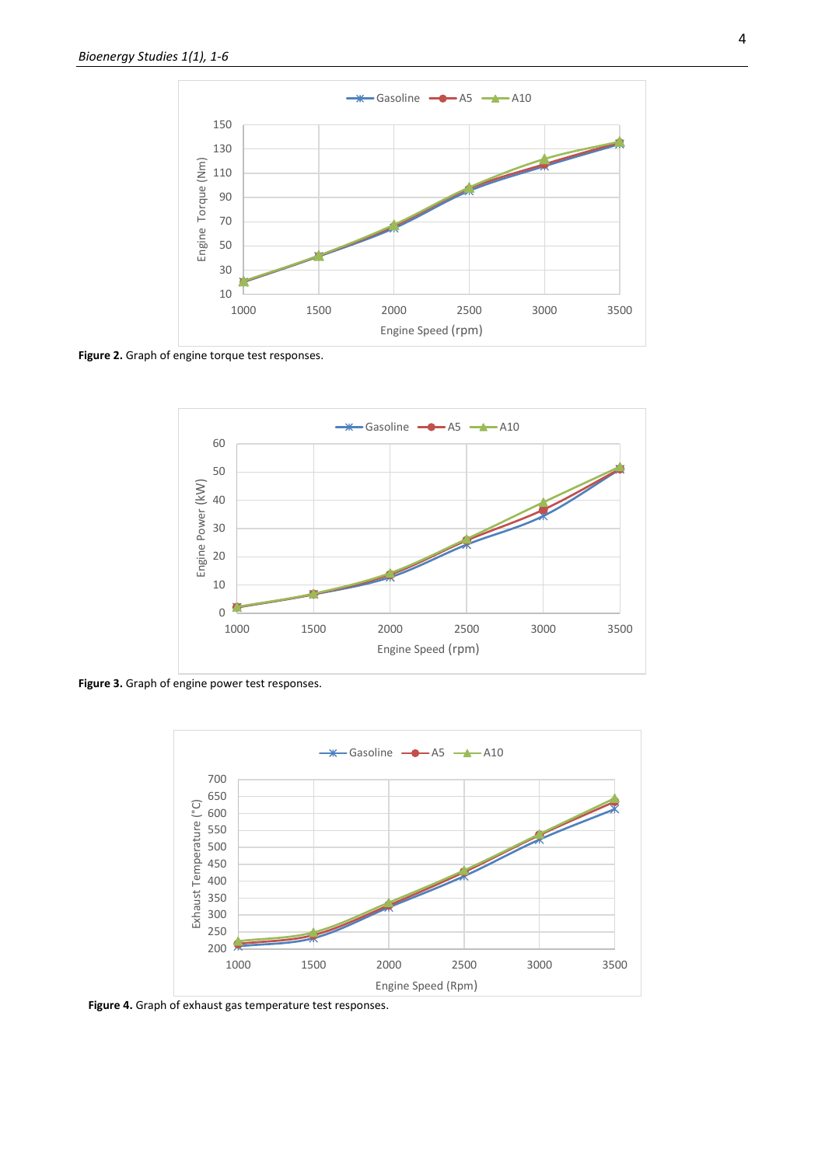

**Figure 2.** Graph of engine torque test responses.



**Figure 3.** Graph of engine power test responses.



**Figure 4.** Graph of exhaust gas temperature test responses.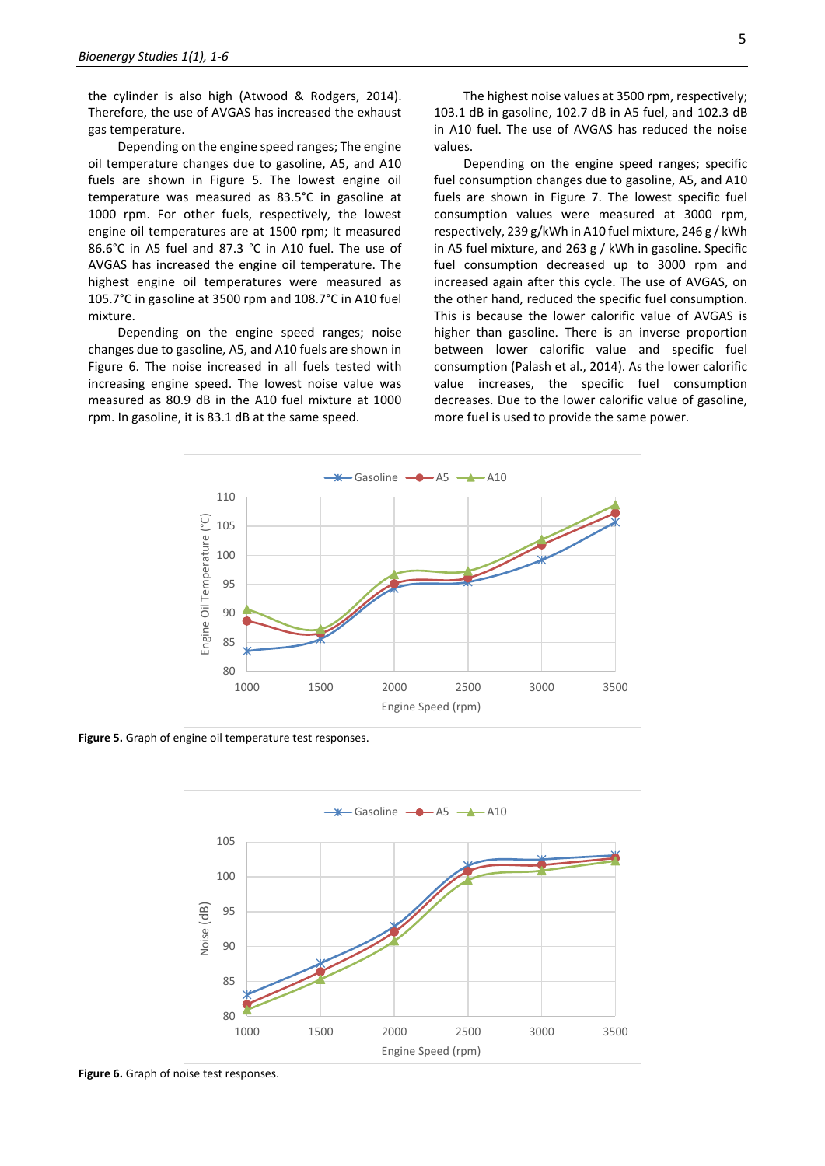the cylinder is also high (Atwood & Rodgers, 2014). Therefore, the use of AVGAS has increased the exhaust gas temperature.

Depending on the engine speed ranges; The engine oil temperature changes due to gasoline, A5, and A10 fuels are shown in Figure 5. The lowest engine oil temperature was measured as 83.5°C in gasoline at 1000 rpm. For other fuels, respectively, the lowest engine oil temperatures are at 1500 rpm; It measured 86.6°C in A5 fuel and 87.3 °C in A10 fuel. The use of AVGAS has increased the engine oil temperature. The highest engine oil temperatures were measured as 105.7°C in gasoline at 3500 rpm and 108.7°C in A10 fuel mixture.

Depending on the engine speed ranges; noise changes due to gasoline, A5, and A10 fuels are shown in Figure 6. The noise increased in all fuels tested with increasing engine speed. The lowest noise value was measured as 80.9 dB in the A10 fuel mixture at 1000 rpm. In gasoline, it is 83.1 dB at the same speed.

The highest noise values at 3500 rpm, respectively; 103.1 dB in gasoline, 102.7 dB in A5 fuel, and 102.3 dB in A10 fuel. The use of AVGAS has reduced the noise values.

Depending on the engine speed ranges; specific fuel consumption changes due to gasoline, A5, and A10 fuels are shown in Figure 7. The lowest specific fuel consumption values were measured at 3000 rpm, respectively, 239 g/kWh in A10 fuel mixture, 246 g / kWh in A5 fuel mixture, and 263 g / kWh in gasoline. Specific fuel consumption decreased up to 3000 rpm and increased again after this cycle. The use of AVGAS, on the other hand, reduced the specific fuel consumption. This is because the lower calorific value of AVGAS is higher than gasoline. There is an inverse proportion between lower calorific value and specific fuel consumption (Palash et al., 2014). As the lower calorific value increases, the specific fuel consumption decreases. Due to the lower calorific value of gasoline, more fuel is used to provide the same power.



**Figure 5.** Graph of engine oil temperature test responses.



**Figure 6.** Graph of noise test responses.